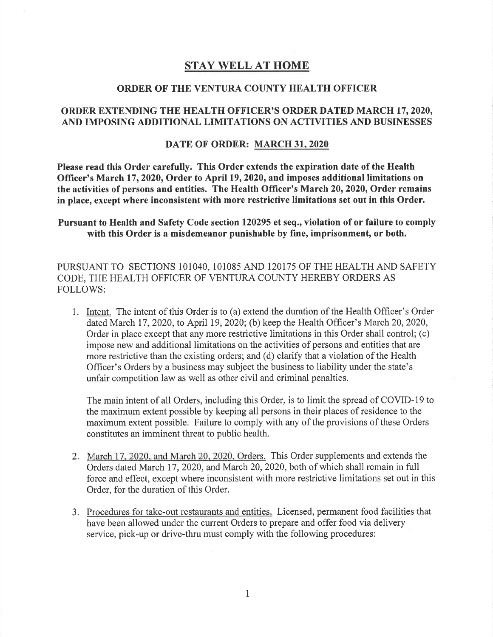# STAY WELL AT HOME

#### ORDER OF THE VENTURA COUNTY HEALTH OFFICER

# ORDER EXTENDING THE HEALTH OFFICER'S ORDER DATED MARCH 17,2020, AND IMPOSING ADDITIONAL LIMITATIONS ON ACTIVITIES AND BUSINESSES

#### DATE OF ORDER: MARCH 31,2020

Please read this Order carefully. This Order extends the expiration date of the Health Officer's March 17,2020, Order to April 19,2020, and imposes additional limitations on the activities of persons and entities. The Health Officer's March 20, 2020, Order remains in place, except where inconsistent with more restrictive limitations set out in this Order.

Pursuant to Health and Safety Code section 120295 et seq., violation of or failure to comply with this Order is a misdemeanor punishable by fine, imprisonment, or both.

PURSUANT TO SECTIONS 1OIO4O, 101085 AND I2OI75 OF THE HEALTH AND SAFETY CODE, THE HEALTH OFFICER OF VENTURA COUNTY HEREBY ORDERS AS FOLLOWS:

1. Intent. The intent of this Order is to (a) extend the duration of the Health Offrcer's Order dated March 17,2020, to April 19,2020; (b) keep the Health Officer's March 20,2020, Order in place except that any more restrictive limitations in this Order shall control; (c) impose new and additional limitations on the activities of persons and entities that are more restrictive than the existing orders; and (d) clarify that a violation of the Health Officer's Orders by a business may subject the business to liability under the state's unfair competition law as well as other civil and criminal penalties.

The main intent of all Orders, including this Order, is to limit the spread of COVID- 19 to the maximum extent possible by keeping all persons in their places of residence to the maximum extent possible. Failure to comply with any of the provisions of these Orders constitutes an imminent threat to public health.

- 2. March 17. 2020. and March 20. 2020. Orders. This Order supplements and extends the Orders dated March 17,2020, and March 20,2020, both of which shall remain in full force and effect, except where inconsistent with more restrictive limitations set out in this Order, for the duration of this Order.
- 3. Procedures for take-out restaurants and entities. Licensed, permanent food facilities that have been allowed under the current Orders to prepare and offer food via delivery service, pick-up or drive-thru must comply with the following procedures: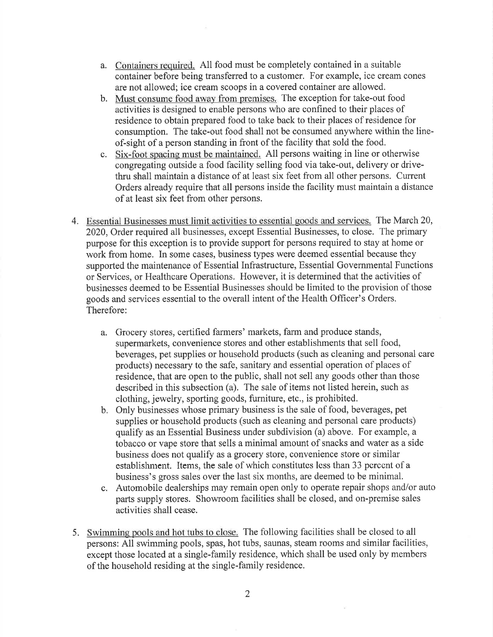- a. Containers required. All food must be completely contained in a suitable container before being transferred to a customer. For example, ice cream cones are not allowed; ice cream scoops in a covered container are allowed.
- b. Must consume food away from premises. The exception for take-out food activities is designed to enable persons who are confined to their places of residence to obtain prepared food to take back to their places of residence for consumption. The take-out food shall not be consumed anywhere within the lineof-sight of a person standing in front of the facility that sold the food.
- c. Six-foot spacing must be maintained. All persons waiting in line or otherwise congregating outside a food facility selling food via take-out, delivery or drivethru shall maintain a distance of at least six feet from all other persons. Current Orders already require that all persons inside the facility must maintain a distance ofat least six feet from other persons.
- 4. Essential Businesses must limit activities to essential goods and services. The March 20, 2020, Order required all businesses, except Essential Businesses, to close. The primary purpose for this exception is to provide support for persons required to stay at home or work from home. In some cases, business types were deemed essential because they supported the maintenance of Essential Infrastructure, Essential Governmental Functions or Services, or Healthcare Operations. However, it is determined that the activities of businesses deemed to be Essential Businesses should be limited to the provision of those goods and services essential to the overall intent of the Health Officer's Orders. Therefore:
	- a. Grocery stores, certified farmers' markets, farm and produce stands, supermarkets, convenience stores and other establishments that sell food, beverages, pet supplies or household products (such as cleaning and personal care products) necessary to the safe, sanitary and essential operation of places of residence, that are open to the public, shall not sell any goods other than those described in this subsection (a). The sale of items not listed herein, such as clothing, jewelry, sporting goods, furniture, etc., is prohibited.
	- b. Only businesses whose primary business is the sale of food, beverages, pet supplies or household products (such as cleaning and personal care products) qualify as an Essential Business under subdivision (a) above. For example, a tobacco or vape store that sells a minimal amount of snacks and water as a side business does not qualify as a grocery store, convenience store or similar establishment. Items, the sale of which constitutes less than 33 percent of a business's gross sales over the last six months, are deemed to be minimal.
	- c. Automobile dealerships may remain open only to operate repair shops and/or auto parts supply stores. Showroom facilities shall be closed, and on-premise sales activities shall cease.
- 5. Swimming pools and hot tubs to close. The following facilities shall be closed to all persons: All swimming pools, spas, hot tubs, saunas, steam rooms and similar facilities, except those located at a single-family residence, which shall be used only by members of the household residing at the single-family residence.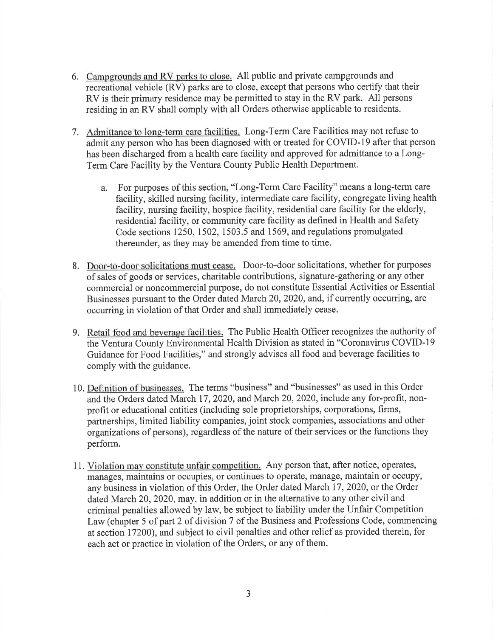- 6. Campgrounds and RV parks to close. All public and private campgrounds and recreational vehicle (RV) parks are to close, except that persons who certify that their RV is their primary residence may be permitted to stay in the RV park. All persons residing in an RV shall comply with all Orders otherwise applicable to residents.
- 7. Admittance to long-term care facilities. Long-Term Care Facilities may not refuse to admit any person who has been diagnosed with or treated for COVID-19 after that person has been discharged from a health care facility and approved for admittance to a Long-Term Care Facility by the Ventura County Public Health Department.
	- a. For purposes of this section, "Long-Term Care Facility" means a long-term care facility, skilled nursing facility, intermediate care facility, congregate living health facility, nursing facility, hospice facility, residential care facility for the elderly, residential facility, or community care facility as defined in Health and Safety Code sections 1250, 1502,1503.5 and 1569, and regulations promulgated thereunder, as they may be amended from time to time.
- 8. Door-to-door solicitations must cease. Door-to-door solicitations, whether for purposes of sales of goods or services, charitable contributions, signature-gathering or any other commercial or noncommercial purpose, do not constitute Essential Activities or Essential Businesses pursuant to the Order dated March 20,2020, and, if currently occurring, are occurring in violation of that Order and shall immediately cease.
- 9. Retail food and beverage facilities. The Public Health Officer recognizes the authority of the Ventura County Environmental Health Division as stated in "Coronavirus COVID-19" Guidance for Food Facilities," and strongly advises all food and beverage facilities to comply with the guidance.
- 10. Definition of businesses. The terms "business" and "businesses" as used in this Order and the Orders dated March 17,2020, and March 20,2020, include any for-profit, nonprofit or educational entities (including sole proprietorships, corporations, firms, partnerships, limited liability companies, joint stock companies, associations and other organizations of persons), regardless of the nature of their services or the functions they perform.
- <sup>1</sup>1. Violation may constitute unfair compctition. Any pcrson that, aftcr notice, operates, managgs, maintains or occupies, or continues to operate, manage, maintain or occupy, any business in violation of this Order, the Order dated March 17,2020, or the Order dated March 20,2020, may, in addition or in the alternative to any other civil and criminal penalties allowed by law, be subject to liability under the Unfair Competition Law (chapter 5 of part 2 of division 7 of the Business and Professions Code, commencing at section 17200), and subject to civil penalties and other relief as provided therein, for each act or practice in violation of the Orders, or any of them.